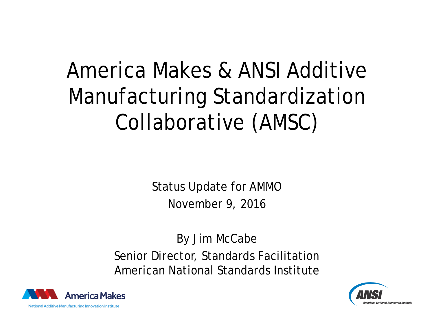# America Makes & ANSI Additive Manufacturing Standardization Collaborative (AMSC)

Status Update for AMMO November 9, 2016

By Jim McCabe Senior Director, Standards Facilitation American National Standards Institute



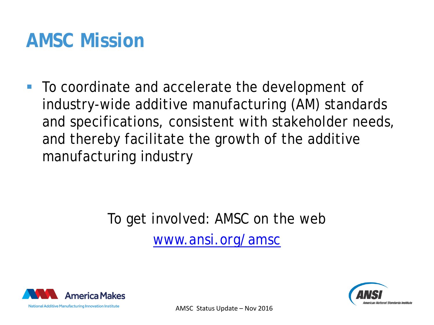### **AMSC Mission**

■ To coordinate and accelerate the development of industry-wide additive manufacturing (AM) standards and specifications, consistent with stakeholder needs, and thereby facilitate the growth of the additive manufacturing industry

#### To get involved: AMSC on the web [www.ansi.org/amsc](http://www.ansi.org/amsc)



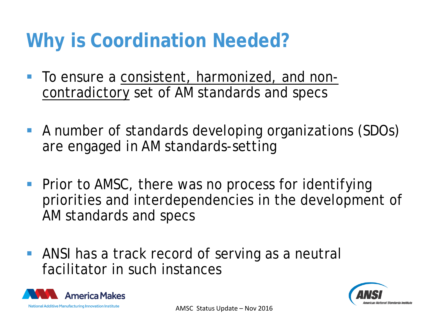## **Why is Coordination Needed?**

- To ensure a consistent, harmonized, and noncontradictory set of AM standards and specs
- A number of standards developing organizations (SDOs) are engaged in AM standards-setting
- **Prior to AMSC, there was no process for identifying** priorities and interdependencies in the development of AM standards and specs
- ANSI has a track record of serving as a neutral facilitator in such instances



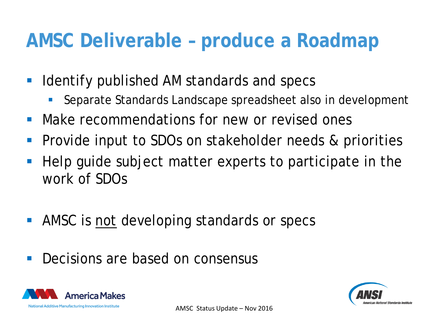### **AMSC Deliverable – produce a Roadmap**

- **If Identify published AM standards and specs** 
	- Separate Standards Landscape spreadsheet also in development
- **Make recommendations for new or revised ones**
- Provide input to SDOs on stakeholder needs & priorities
- Help guide subject matter experts to participate in the work of SDOs
- **AMSC** is not developing standards or specs
- **Decisions are based on consensus**



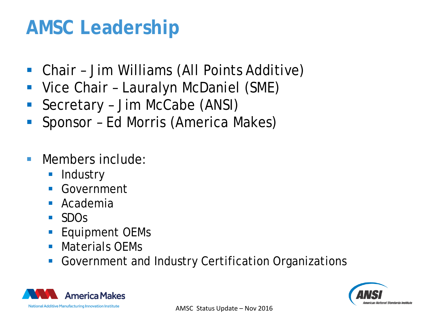## **AMSC Leadership**

- Chair Jim Williams (All Points Additive)
- Vice Chair Lauralyn McDaniel (SME)
- Secretary Jim McCabe (ANSI)
- Sponsor Ed Morris (America Makes)
- **Members include:** 
	- **Industry**
	- **Government**
	- **Academia**
	- SDOs
	- **Equipment OEMs**
	- **Materials OFMs**
	- Government and Industry Certification Organizations



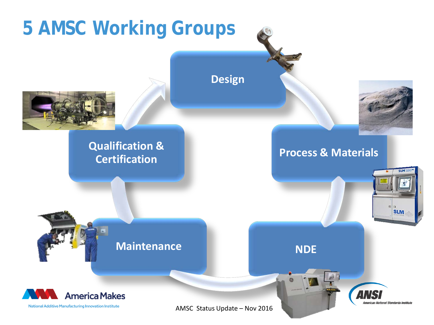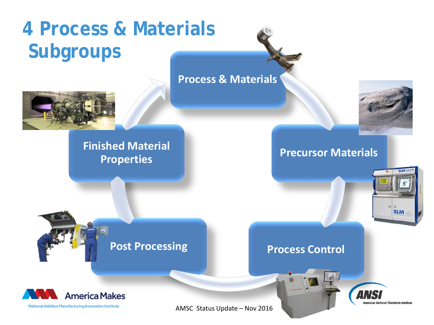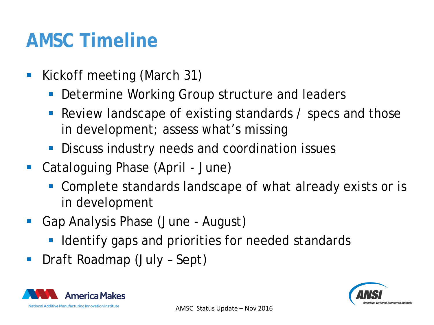### **AMSC Timeline**

- **Kickoff meeting (March 31)** 
	- Determine Working Group structure and leaders
	- Review landscape of existing standards / specs and those in development; assess what's missing
	- **Discuss industry needs and coordination issues**
- Cataloguing Phase (April June)
	- Complete standards landscape of what already exists or is in development
- Gap Analysis Phase (June August)
	- **I** Identify gaps and priorities for needed standards
- Draft Roadmap (July Sept)

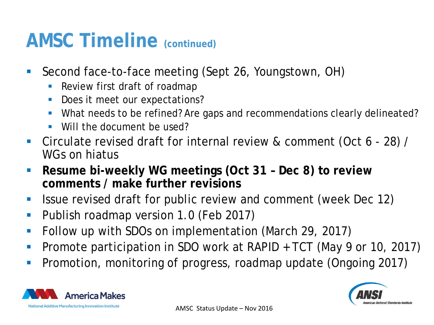### **AMSC Timeline (continued)**

- Second face-to-face meeting (Sept 26, Youngstown, OH)
	- **Review first draft of roadmap**
	- Does it meet our expectations?
	- What needs to be refined? Are gaps and recommendations clearly delineated?
	- Will the document be used?
- Circulate revised draft for internal review & comment (Oct 6 28) / WGs on hiatus
- **Resume bi-weekly WG meetings (Oct 31 – Dec 8) to review comments / make further revisions**
- I Issue revised draft for public review and comment (week Dec 12)
- **Publish roadmap version 1.0 (Feb 2017)**
- Follow up with SDOs on implementation (March 29, 2017)
- **Promote participation in SDO work at RAPID + TCT (May 9 or 10, 2017)**
- **Promotion, monitoring of progress, roadmap update (Ongoing 2017)**